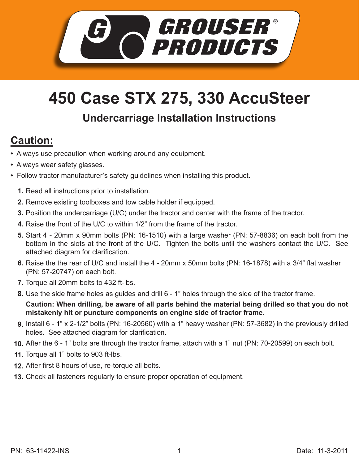

## **450 Case STX 275, 330 AccuSteer**

## **Undercarriage Installation Instructions**

## **Caution:**

- Always use precaution when working around any equipment.
- Always wear safety glasses.
- Follow tractor manufacturer's safety guidelines when installing this product.
	- **1.** Read all instructions prior to installation.
	- **2.** Remove existing toolboxes and tow cable holder if equipped.
	- **3.** Position the undercarriage (U/C) under the tractor and center with the frame of the tractor.
	- **4.** Raise the front of the U/C to within 1/2" from the frame of the tractor.
	- Start 4 20mm x 90mm bolts (PN: 16-1510) with a large washer (PN: 57-8836) on each bolt from the **5.** bottom in the slots at the front of the U/C. Tighten the bolts until the washers contact the U/C. See attached diagram for clarification.
	- **6.** Raise the the rear of U/C and install the 4 20mm x 50mm bolts (PN: 16-1878) with a 3/4" flat washer (PN: 57-20747) on each bolt.
	- **7.** Torque all 20mm bolts to 432 ft-lbs.
	- Use the side frame holes as guides and drill 6 1" holes through the side of the tractor frame. **8.**

**Caution: When drilling, be aware of all parts behind the material being drilled so that you do not mistakenly hit or puncture components on engine side of tractor frame.** 

- Install 6 1" x 2-1/2" bolts (PN: 16-20560) with a 1" heavy washer (PN: 57-3682) in the previously drilled **9.** holes. See attached diagram for clarification.
- After the 6 1" bolts are through the tractor frame, attach with a 1" nut (PN: 70-20599) on each bolt. **10.**
- **11.** Torque all 1" bolts to 903 ft-lbs.
- After first 8 hours of use, re-torque all bolts. **12.**
- Check all fasteners regularly to ensure proper operation of equipment. **13.**